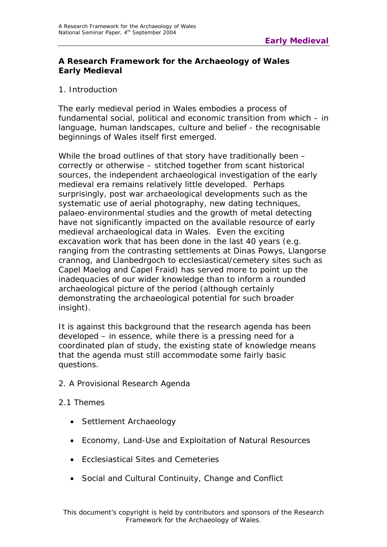# **A Research Framework for the Archaeology of Wales Early Medieval**

# 1. Introduction

The early medieval period in Wales embodies a process of fundamental social, political and economic transition from which – in language, human landscapes, culture and belief - the recognisable beginnings of Wales itself first emerged.

While the broad outlines of that story have traditionally been – correctly or otherwise – stitched together from scant historical sources, the independent archaeological investigation of the early medieval era remains relatively little developed. Perhaps surprisingly, post war archaeological developments such as the systematic use of aerial photography, new dating techniques, palaeo-environmental studies and the growth of metal detecting have not significantly impacted on the available resource of early medieval archaeological data in Wales. Even the exciting excavation work that has been done in the last 40 years (e.g. ranging from the contrasting settlements at Dinas Powys, Llangorse crannog, and Llanbedrgoch to ecclesiastical/cemetery sites such as Capel Maelog and Capel Fraid) has served more to point up the inadequacies of our wider knowledge than to inform a rounded archaeological picture of the period (although certainly demonstrating the archaeological potential for such broader insight).

It is against this background that the research agenda has been developed – in essence, while there is a pressing need for a coordinated plan of study, the existing state of knowledge means that the agenda must still accommodate some fairly basic questions.

2. A Provisional Research Agenda

## 2.1 Themes

- Settlement Archaeology
- Economy, Land-Use and Exploitation of Natural Resources
- Ecclesiastical Sites and Cemeteries
- Social and Cultural Continuity, Change and Conflict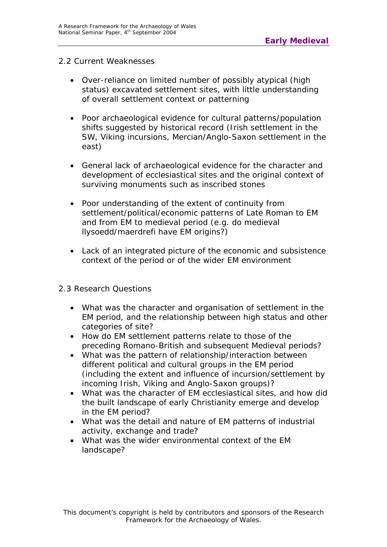#### 2.2 Current Weaknesses

- Over-reliance on limited number of possibly atypical (high status) excavated settlement sites, with little understanding of overall settlement context or patterning
- Poor archaeological evidence for cultural patterns/population shifts suggested by historical record (Irish settlement in the SW, Viking incursions, Mercian/Anglo-Saxon settlement in the east)
- General lack of archaeological evidence for the character and development of ecclesiastical sites and the original context of surviving monuments such as inscribed stones
- Poor understanding of the extent of continuity from settlement/political/economic patterns of Late Roman to EM and from EM to medieval period (e.g. do medieval llysoedd/maerdrefi have EM origins?)
- Lack of an integrated picture of the economic and subsistence context of the period or of the wider EM environment

## 2.3 Research Questions

- What was the character and organisation of settlement in the EM period, and the relationship between high status and other categories of site?
- How do EM settlement patterns relate to those of the preceding Romano-British and subsequent Medieval periods?
- What was the pattern of relationship/interaction between different political and cultural groups in the EM period (including the extent and influence of incursion/settlement by incoming Irish, Viking and Anglo-Saxon groups)?
- What was the character of EM ecclesiastical sites, and how did the built landscape of early Christianity emerge and develop in the EM period?
- What was the detail and nature of EM patterns of industrial activity, exchange and trade?
- What was the wider environmental context of the EM landscape?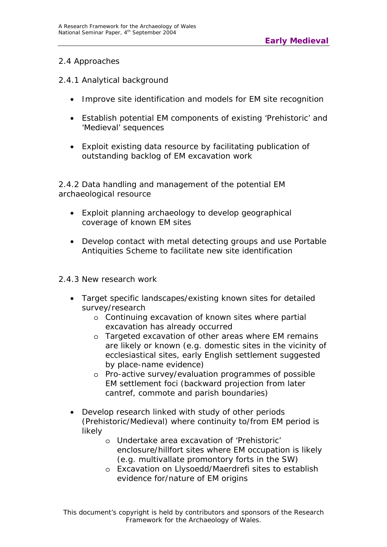# 2.4 Approaches

## 2.4.1 *Analytical background*

- Improve site identification and models for EM site recognition
- Establish potential EM components of existing 'Prehistoric' and 'Medieval' sequences
- Exploit existing data resource by facilitating publication of outstanding backlog of EM excavation work

## 2.4.2 *Data handling and management of the potential EM archaeological resource*

- Exploit planning archaeology to develop geographical coverage of known EM sites
- Develop contact with metal detecting groups and use Portable Antiquities Scheme to facilitate new site identification

## 2.4.3 *New research work*

- Target specific landscapes/existing known sites for detailed survey/research
	- o Continuing excavation of known sites where partial excavation has already occurred
	- o Targeted excavation of other areas where EM remains are likely or known (e.g. domestic sites in the vicinity of ecclesiastical sites, early English settlement suggested by place-name evidence)
	- o Pro-active survey/evaluation programmes of possible EM settlement foci (backward projection from later cantref, commote and parish boundaries)
- Develop research linked with study of other periods (Prehistoric/Medieval) where continuity to/from EM period is likely
	- o Undertake area excavation of 'Prehistoric' enclosure/hillfort sites where EM occupation is likely (e.g. multivallate promontory forts in the SW)
	- o Excavation on Llysoedd/Maerdrefi sites to establish evidence for/nature of EM origins